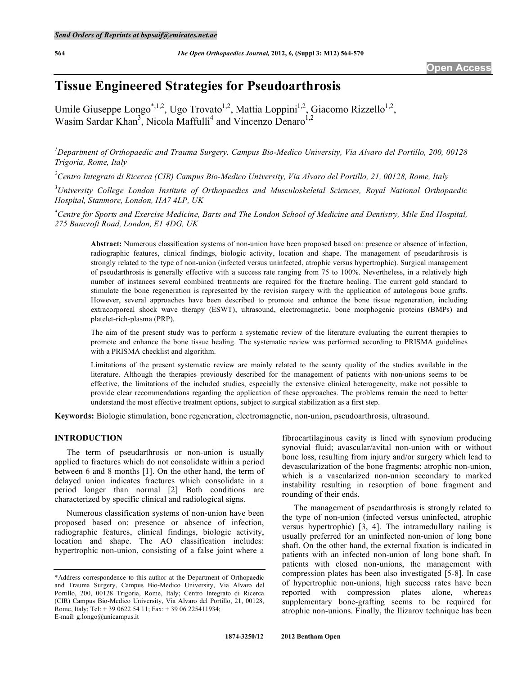# **Tissue Engineered Strategies for Pseudoarthrosis**

Umile Giuseppe Longo<sup>\*,1,2</sup>, Ugo Trovato<sup>1,2</sup>, Mattia Loppini<sup>1,2</sup>, Giacomo Rizzello<sup>1,2</sup>, Wasim Sardar Khan<sup>3</sup>, Nicola Maffulli<sup>4</sup> and Vincenzo Denaro<sup>1,2</sup>

*1 Department of Orthopaedic and Trauma Surgery. Campus Bio-Medico University, Via Alvaro del Portillo, 200, 00128 Trigoria, Rome, Italy* 

*2 Centro Integrato di Ricerca (CIR) Campus Bio-Medico University, Via Alvaro del Portillo, 21, 00128, Rome, Italy* 

*3 University College London Institute of Orthopaedics and Musculoskeletal Sciences, Royal National Orthopaedic Hospital, Stanmore, London, HA7 4LP, UK* 

<sup>4</sup> Centre for Sports and Exercise Medicine, Barts and The London School of Medicine and Dentistry, Mile End Hospital, *275 Bancroft Road, London, E1 4DG, UK* 

**Abstract:** Numerous classification systems of non-union have been proposed based on: presence or absence of infection, radiographic features, clinical findings, biologic activity, location and shape. The management of pseudarthrosis is strongly related to the type of non-union (infected versus uninfected, atrophic versus hypertrophic). Surgical management of pseudarthrosis is generally effective with a success rate ranging from 75 to 100%. Nevertheless, in a relatively high number of instances several combined treatments are required for the fracture healing. The current gold standard to stimulate the bone regeneration is represented by the revision surgery with the application of autologous bone grafts. However, several approaches have been described to promote and enhance the bone tissue regeneration, including extracorporeal shock wave therapy (ESWT), ultrasound, electromagnetic, bone morphogenic proteins (BMPs) and platelet-rich-plasma (PRP).

The aim of the present study was to perform a systematic review of the literature evaluating the current therapies to promote and enhance the bone tissue healing. The systematic review was performed according to PRISMA guidelines with a PRISMA checklist and algorithm.

Limitations of the present systematic review are mainly related to the scanty quality of the studies available in the literature. Although the therapies previously described for the management of patients with non-unions seems to be effective, the limitations of the included studies, especially the extensive clinical heterogeneity, make not possible to provide clear recommendations regarding the application of these approaches. The problems remain the need to better understand the most effective treatment options, subject to surgical stabilization as a first step.

**Keywords:** Biologic stimulation, bone regeneration, electromagnetic, non-union, pseudoarthrosis, ultrasound.

# **INTRODUCTION**

 The term of pseudarthrosis or non-union is usually applied to fractures which do not consolidate within a period between 6 and 8 months [1]. On the other hand, the term of delayed union indicates fractures which consolidate in a period longer than normal [2] Both conditions are characterized by specific clinical and radiological signs.

 Numerous classification systems of non-union have been proposed based on: presence or absence of infection, radiographic features, clinical findings, biologic activity, location and shape. The AO classification includes: hypertrophic non-union, consisting of a false joint where a

fibrocartilaginous cavity is lined with synovium producing synovial fluid; avascular/avital non-union with or without bone loss, resulting from injury and/or surgery which lead to devascularization of the bone fragments; atrophic non-union, which is a vascularized non-union secondary to marked instability resulting in resorption of bone fragment and rounding of their ends.

 The management of pseudarthrosis is strongly related to the type of non-union (infected versus uninfected, atrophic versus hypertrophic) [3, 4]. The intramedullary nailing is usually preferred for an uninfected non-union of long bone shaft. On the other hand, the external fixation is indicated in patients with an infected non-union of long bone shaft. In patients with closed non-unions, the management with compression plates has been also investigated [5-8]. In case of hypertrophic non-unions, high success rates have been reported with compression plates alone, whereas supplementary bone-grafting seems to be required for atrophic non-unions. Finally, the Ilizarov technique has been

<sup>\*</sup>Address correspondence to this author at the Department of Orthopaedic and Trauma Surgery, Campus Bio-Medico University, Via Alvaro del Portillo, 200, 00128 Trigoria, Rome, Italy; Centro Integrato di Ricerca (CIR) Campus Bio-Medico University, Via Alvaro del Portillo, 21, 00128, Rome, Italy; Tel: + 39 0622 54 11; Fax: + 39 06 225411934; E-mail: g.longo@unicampus.it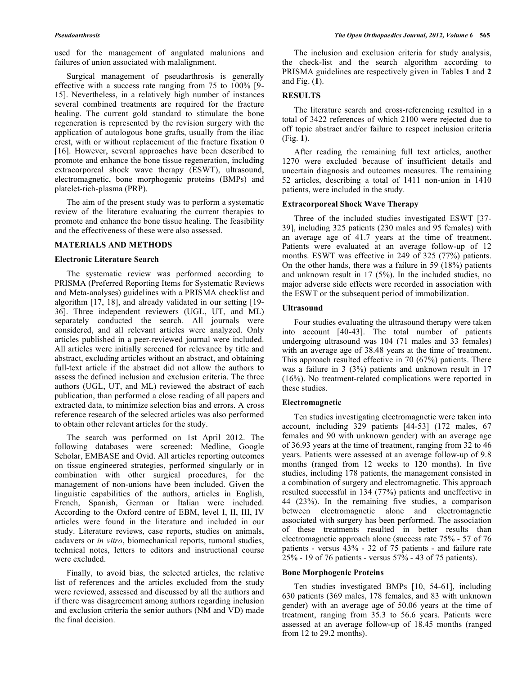used for the management of angulated malunions and failures of union associated with malalignment.

 Surgical management of pseudarthrosis is generally effective with a success rate ranging from 75 to 100% [9- 15]. Nevertheless, in a relatively high number of instances several combined treatments are required for the fracture healing. The current gold standard to stimulate the bone regeneration is represented by the revision surgery with the application of autologous bone grafts, usually from the iliac crest, with or without replacement of the fracture fixation 0 [16]. However, several approaches have been described to promote and enhance the bone tissue regeneration, including extracorporeal shock wave therapy (ESWT), ultrasound, electromagnetic, bone morphogenic proteins (BMPs) and platelet-rich-plasma (PRP).

 The aim of the present study was to perform a systematic review of the literature evaluating the current therapies to promote and enhance the bone tissue healing. The feasibility and the effectiveness of these were also assessed.

# **MATERIALS AND METHODS**

# **Electronic Literature Search**

 The systematic review was performed according to PRISMA (Preferred Reporting Items for Systematic Reviews and Meta-analyses) guidelines with a PRISMA checklist and algorithm [17, 18], and already validated in our setting [19- 36]. Three independent reviewers (UGL, UT, and ML) separately conducted the search. All journals were considered, and all relevant articles were analyzed. Only articles published in a peer-reviewed journal were included. All articles were initially screened for relevance by title and abstract, excluding articles without an abstract, and obtaining full-text article if the abstract did not allow the authors to assess the defined inclusion and exclusion criteria. The three authors (UGL, UT, and ML) reviewed the abstract of each publication, than performed a close reading of all papers and extracted data, to minimize selection bias and errors. A cross reference research of the selected articles was also performed to obtain other relevant articles for the study.

 The search was performed on 1st April 2012. The following databases were screened: Medline, Google Scholar, EMBASE and Ovid. All articles reporting outcomes on tissue engineered strategies, performed singularly or in combination with other surgical procedures, for the management of non-unions have been included. Given the linguistic capabilities of the authors, articles in English, French, Spanish, German or Italian were included. According to the Oxford centre of EBM, level I, II, III, IV articles were found in the literature and included in our study. Literature reviews, case reports, studies on animals, cadavers or *in vitro*, biomechanical reports, tumoral studies, technical notes, letters to editors and instructional course were excluded.

 Finally, to avoid bias, the selected articles, the relative list of references and the articles excluded from the study were reviewed, assessed and discussed by all the authors and if there was disagreement among authors regarding inclusion and exclusion criteria the senior authors (NM and VD) made the final decision.

 The inclusion and exclusion criteria for study analysis, the check-list and the search algorithm according to PRISMA guidelines are respectively given in Tables **1** and **2** and Fig. (**1**).

# **RESULTS**

 The literature search and cross-referencing resulted in a total of 3422 references of which 2100 were rejected due to off topic abstract and/or failure to respect inclusion criteria (Fig. **1**).

 After reading the remaining full text articles, another 1270 were excluded because of insufficient details and uncertain diagnosis and outcomes measures. The remaining 52 articles, describing a total of 1411 non-union in 1410 patients, were included in the study.

### **Extracorporeal Shock Wave Therapy**

 Three of the included studies investigated ESWT [37- 39], including 325 patients (230 males and 95 females) with an average age of 41.7 years at the time of treatment. Patients were evaluated at an average follow-up of 12 months. ESWT was effective in 249 of 325 (77%) patients. On the other hands, there was a failure in 59 (18%) patients and unknown result in 17 (5%). In the included studies, no major adverse side effects were recorded in association with the ESWT or the subsequent period of immobilization.

# **Ultrasound**

 Four studies evaluating the ultrasound therapy were taken into account [40-43]. The total number of patients undergoing ultrasound was 104 (71 males and 33 females) with an average age of 38.48 years at the time of treatment. This approach resulted effective in 70 (67%) patients. There was a failure in 3 (3%) patients and unknown result in 17 (16%). No treatment-related complications were reported in these studies.

# **Electromagnetic**

 Ten studies investigating electromagnetic were taken into account, including 329 patients [44-53] (172 males, 67 females and 90 with unknown gender) with an average age of 36.93 years at the time of treatment, ranging from 32 to 46 years. Patients were assessed at an average follow-up of 9.8 months (ranged from 12 weeks to 120 months). In five studies, including 178 patients, the management consisted in a combination of surgery and electromagnetic. This approach resulted successful in 134 (77%) patients and uneffective in 44 (23%). In the remaining five studies, a comparison between electromagnetic alone and electromagnetic associated with surgery has been performed. The association of these treatments resulted in better results than electromagnetic approach alone (success rate 75% - 57 of 76 patients - versus 43% - 32 of 75 patients - and failure rate 25% - 19 of 76 patients - versus 57% - 43 of 75 patients).

# **Bone Morphogenic Proteins**

 Ten studies investigated BMPs [10, 54-61], including 630 patients (369 males, 178 females, and 83 with unknown gender) with an average age of 50.06 years at the time of treatment, ranging from 35.3 to 56.6 years. Patients were assessed at an average follow-up of 18.45 months (ranged from 12 to 29.2 months).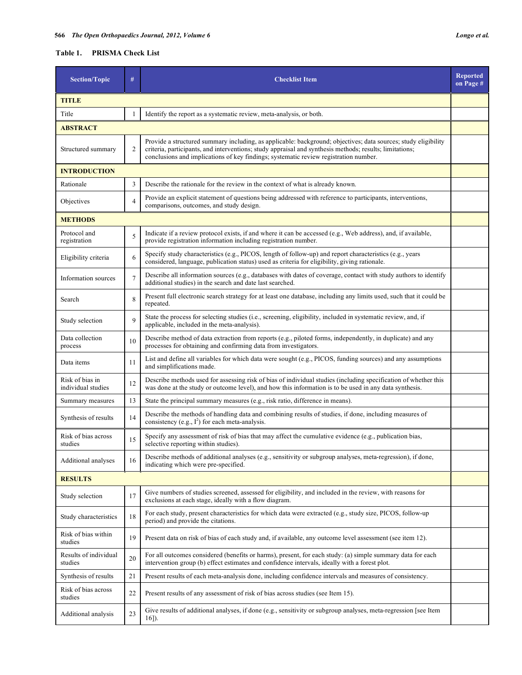# **Table 1. PRISMA Check List**

| <b>Section/Topic</b>                  | #              | <b>Checklist Item</b>                                                                                                                                                                                                                                                                                             | <b>Reported</b><br>on Page # |  |
|---------------------------------------|----------------|-------------------------------------------------------------------------------------------------------------------------------------------------------------------------------------------------------------------------------------------------------------------------------------------------------------------|------------------------------|--|
| <b>TITLE</b>                          |                |                                                                                                                                                                                                                                                                                                                   |                              |  |
| Title                                 | 1              | Identify the report as a systematic review, meta-analysis, or both.                                                                                                                                                                                                                                               |                              |  |
| <b>ABSTRACT</b>                       |                |                                                                                                                                                                                                                                                                                                                   |                              |  |
| Structured summary                    | $\overline{2}$ | Provide a structured summary including, as applicable: background; objectives; data sources; study eligibility<br>criteria, participants, and interventions; study appraisal and synthesis methods; results; limitations;<br>conclusions and implications of key findings; systematic review registration number. |                              |  |
| <b>INTRODUCTION</b>                   |                |                                                                                                                                                                                                                                                                                                                   |                              |  |
| Rationale                             | 3              | Describe the rationale for the review in the context of what is already known.                                                                                                                                                                                                                                    |                              |  |
| Objectives                            | $\overline{4}$ | Provide an explicit statement of questions being addressed with reference to participants, interventions,<br>comparisons, outcomes, and study design.                                                                                                                                                             |                              |  |
| <b>METHODS</b>                        |                |                                                                                                                                                                                                                                                                                                                   |                              |  |
| Protocol and<br>registration          | 5              | Indicate if a review protocol exists, if and where it can be accessed (e.g., Web address), and, if available,<br>provide registration information including registration number.                                                                                                                                  |                              |  |
| Eligibility criteria                  | 6              | Specify study characteristics (e.g., PICOS, length of follow-up) and report characteristics (e.g., years<br>considered, language, publication status) used as criteria for eligibility, giving rationale.                                                                                                         |                              |  |
| Information sources                   | $\overline{7}$ | Describe all information sources (e.g., databases with dates of coverage, contact with study authors to identify<br>additional studies) in the search and date last searched.                                                                                                                                     |                              |  |
| Search                                | 8              | Present full electronic search strategy for at least one database, including any limits used, such that it could be<br>repeated.                                                                                                                                                                                  |                              |  |
| Study selection                       | 9              | State the process for selecting studies (i.e., screening, eligibility, included in systematic review, and, if<br>applicable, included in the meta-analysis).                                                                                                                                                      |                              |  |
| Data collection<br>process            | 10             | Describe method of data extraction from reports (e.g., piloted forms, independently, in duplicate) and any<br>processes for obtaining and confirming data from investigators.                                                                                                                                     |                              |  |
| Data items                            | 11             | List and define all variables for which data were sought (e.g., PICOS, funding sources) and any assumptions<br>and simplifications made.                                                                                                                                                                          |                              |  |
| Risk of bias in<br>individual studies | 12             | Describe methods used for assessing risk of bias of individual studies (including specification of whether this<br>was done at the study or outcome level), and how this information is to be used in any data synthesis.                                                                                         |                              |  |
| Summary measures                      | 13             | State the principal summary measures (e.g., risk ratio, difference in means).                                                                                                                                                                                                                                     |                              |  |
| Synthesis of results                  | 14             | Describe the methods of handling data and combining results of studies, if done, including measures of<br>consistency (e.g., $I^2$ ) for each meta-analysis.                                                                                                                                                      |                              |  |
| Risk of bias across<br>studies        | 15             | Specify any assessment of risk of bias that may affect the cumulative evidence (e.g., publication bias,<br>selective reporting within studies).                                                                                                                                                                   |                              |  |
| Additional analyses                   | 16             | Describe methods of additional analyses (e.g., sensitivity or subgroup analyses, meta-regression), if done,<br>indicating which were pre-specified.                                                                                                                                                               |                              |  |
| <b>RESULTS</b>                        |                |                                                                                                                                                                                                                                                                                                                   |                              |  |
| Study selection                       | 17             | Give numbers of studies screened, assessed for eligibility, and included in the review, with reasons for<br>exclusions at each stage, ideally with a flow diagram.                                                                                                                                                |                              |  |
| Study characteristics                 | 18             | For each study, present characteristics for which data were extracted (e.g., study size, PICOS, follow-up<br>period) and provide the citations.                                                                                                                                                                   |                              |  |
| Risk of bias within<br>studies        | 19             | Present data on risk of bias of each study and, if available, any outcome level assessment (see item 12).                                                                                                                                                                                                         |                              |  |
| Results of individual<br>studies      | 20             | For all outcomes considered (benefits or harms), present, for each study: (a) simple summary data for each<br>intervention group (b) effect estimates and confidence intervals, ideally with a forest plot.                                                                                                       |                              |  |
| Synthesis of results                  | 21             | Present results of each meta-analysis done, including confidence intervals and measures of consistency.                                                                                                                                                                                                           |                              |  |
| Risk of bias across<br>studies        | 22             | Present results of any assessment of risk of bias across studies (see Item 15).                                                                                                                                                                                                                                   |                              |  |
| Additional analysis                   | 23             | Give results of additional analyses, if done (e.g., sensitivity or subgroup analyses, meta-regression [see Item<br>$16$ ]).                                                                                                                                                                                       |                              |  |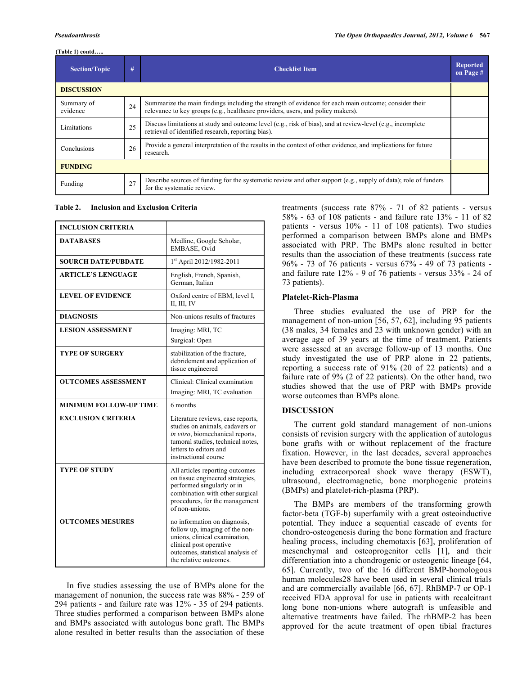# **(Table 1) contd…..**

| <b>Section/Topic</b>   | #  | <b>Checklist Item</b>                                                                                                                                                                   | <b>Reported</b><br>on Page # |  |
|------------------------|----|-----------------------------------------------------------------------------------------------------------------------------------------------------------------------------------------|------------------------------|--|
| <b>DISCUSSION</b>      |    |                                                                                                                                                                                         |                              |  |
| Summary of<br>evidence | 24 | Summarize the main findings including the strength of evidence for each main outcome; consider their<br>relevance to key groups (e.g., healthcare providers, users, and policy makers). |                              |  |
| Limitations            | 25 | Discuss limitations at study and outcome level (e.g., risk of bias), and at review-level (e.g., incomplete<br>retrieval of identified research, reporting bias).                        |                              |  |
| Conclusions            | 26 | Provide a general interpretation of the results in the context of other evidence, and implications for future<br>research.                                                              |                              |  |
| <b>FUNDING</b>         |    |                                                                                                                                                                                         |                              |  |
| Funding                | 27 | Describe sources of funding for the systematic review and other support $(e.g., supply of data)$ ; role of funders<br>for the systematic review.                                        |                              |  |

# **Table 2. Inclusion and Exclusion Criteria**

| <b>INCLUSION CRITERIA</b>     |                                                                                                                                                                                                 |
|-------------------------------|-------------------------------------------------------------------------------------------------------------------------------------------------------------------------------------------------|
| <b>DATABASES</b>              | Medline, Google Scholar,<br>EMBASE, Ovid                                                                                                                                                        |
| <b>SOURCH DATE/PUBDATE</b>    | 1st April 2012/1982-2011                                                                                                                                                                        |
| <b>ARTICLE'S LENGUAGE</b>     | English, French, Spanish,<br>German, Italian                                                                                                                                                    |
| <b>LEVEL OF EVIDENCE</b>      | Oxford centre of EBM, level I,<br>II, III, IV                                                                                                                                                   |
| <b>DIAGNOSIS</b>              | Non-unions results of fractures                                                                                                                                                                 |
| <b>LESION ASSESSMENT</b>      | Imaging: MRI, TC<br>Surgical: Open                                                                                                                                                              |
| <b>TYPE OF SURGERY</b>        | stabilization of the fracture,<br>debridement and application of<br>tissue engineered                                                                                                           |
| <b>OUTCOMES ASSESSMENT</b>    | Clinical: Clinical examination<br>Imaging: MRI, TC evaluation                                                                                                                                   |
| <b>MINIMUM FOLLOW-UP TIME</b> | 6 months                                                                                                                                                                                        |
| <b>EXCLUSION CRITERIA</b>     | Literature reviews, case reports,<br>studies on animals, cadavers or<br>in vitro, biomechanical reports,<br>tumoral studies, technical notes,<br>letters to editors and<br>instructional course |
| <b>TYPE OF STUDY</b>          | All articles reporting outcomes<br>on tissue engineered strategies,<br>performed singularly or in<br>combination with other surgical<br>procedures, for the management<br>of non-unions.        |
| <b>OUTCOMES MESURES</b>       | no information on diagnosis,<br>follow up, imaging of the non-<br>unions, clinical examination,<br>clinical post operative<br>outcomes, statistical analysis of<br>the relative outcomes.       |

 In five studies assessing the use of BMPs alone for the management of nonunion, the success rate was 88% - 259 of 294 patients - and failure rate was 12% - 35 of 294 patients. Three studies performed a comparison between BMPs alone and BMPs associated with autologus bone graft. The BMPs alone resulted in better results than the association of these

treatments (success rate 87% - 71 of 82 patients - versus 58% - 63 of 108 patients - and failure rate 13% - 11 of 82 patients - versus 10% - 11 of 108 patients). Two studies performed a comparison between BMPs alone and BMPs associated with PRP. The BMPs alone resulted in better results than the association of these treatments (success rate 96% - 73 of 76 patients - versus 67% - 49 of 73 patients and failure rate 12% - 9 of 76 patients - versus 33% - 24 of 73 patients).

# **Platelet-Rich-Plasma**

 Three studies evaluated the use of PRP for the management of non-union [56, 57, 62], including 95 patients (38 males, 34 females and 23 with unknown gender) with an average age of 39 years at the time of treatment. Patients were assessed at an average follow-up of 13 months. One study investigated the use of PRP alone in 22 patients, reporting a success rate of 91% (20 of 22 patients) and a failure rate of 9% (2 of 22 patients). On the other hand, two studies showed that the use of PRP with BMPs provide worse outcomes than BMPs alone.

# **DISCUSSION**

 The current gold standard management of non-unions consists of revision surgery with the application of autologus bone grafts with or without replacement of the fracture fixation. However, in the last decades, several approaches have been described to promote the bone tissue regeneration, including extracorporeal shock wave therapy (ESWT), ultrasound, electromagnetic, bone morphogenic proteins (BMPs) and platelet-rich-plasma (PRP).

 The BMPs are members of the transforming growth factor-beta (TGF-b) superfamily with a great osteoinductive potential. They induce a sequential cascade of events for chondro-osteogenesis during the bone formation and fracture healing process, including chemotaxis [63], proliferation of mesenchymal and osteoprogenitor cells [1], and their differentiation into a chondrogenic or osteogenic lineage [64, 65]. Currently, two of the 16 different BMP-homologous human molecules28 have been used in several clinical trials and are commercially available [66, 67]. RhBMP-7 or OP-1 received FDA approval for use in patients with recalcitrant long bone non-unions where autograft is unfeasible and alternative treatments have failed. The rhBMP-2 has been approved for the acute treatment of open tibial fractures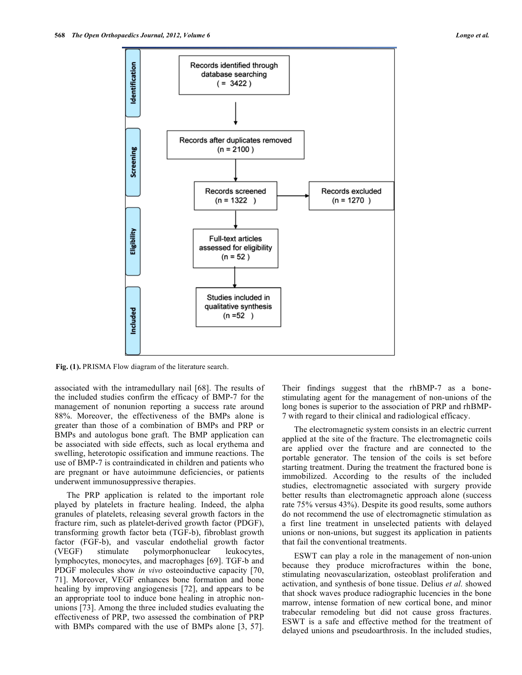

**Fig. (1).** PRISMA Flow diagram of the literature search.

associated with the intramedullary nail [68]. The results of the included studies confirm the efficacy of BMP-7 for the management of nonunion reporting a success rate around 88%. Moreover, the effectiveness of the BMPs alone is greater than those of a combination of BMPs and PRP or BMPs and autologus bone graft. The BMP application can be associated with side effects, such as local erythema and swelling, heterotopic ossification and immune reactions. The use of BMP-7 is contraindicated in children and patients who are pregnant or have autoimmune deficiencies, or patients underwent immunosuppressive therapies.

 The PRP application is related to the important role played by platelets in fracture healing. Indeed, the alpha granules of platelets, releasing several growth factors in the fracture rim, such as platelet-derived growth factor (PDGF), transforming growth factor beta (TGF-b), fibroblast growth factor (FGF-b), and vascular endothelial growth factor (VEGF) stimulate polymorphonuclear leukocytes, lymphocytes, monocytes, and macrophages [69]. TGF-b and PDGF molecules show *in vivo* osteoinductive capacity [70, 71]. Moreover, VEGF enhances bone formation and bone healing by improving angiogenesis [72], and appears to be an appropriate tool to induce bone healing in atrophic nonunions [73]. Among the three included studies evaluating the effectiveness of PRP, two assessed the combination of PRP with BMPs compared with the use of BMPs alone [3, 57].

Their findings suggest that the rhBMP-7 as a bonestimulating agent for the management of non-unions of the long bones is superior to the association of PRP and rhBMP-7 with regard to their clinical and radiological efficacy.

 The electromagnetic system consists in an electric current applied at the site of the fracture. The electromagnetic coils are applied over the fracture and are connected to the portable generator. The tension of the coils is set before starting treatment. During the treatment the fractured bone is immobilized. According to the results of the included studies, electromagnetic associated with surgery provide better results than electromagnetic approach alone (success rate 75% versus 43%). Despite its good results, some authors do not recommend the use of electromagnetic stimulation as a first line treatment in unselected patients with delayed unions or non-unions, but suggest its application in patients that fail the conventional treatments.

 ESWT can play a role in the management of non-union because they produce microfractures within the bone, stimulating neovascularization, osteoblast proliferation and activation, and synthesis of bone tissue. Delius *et al.* showed that shock waves produce radiographic lucencies in the bone marrow, intense formation of new cortical bone, and minor trabecular remodeling but did not cause gross fractures. ESWT is a safe and effective method for the treatment of delayed unions and pseudoarthrosis. In the included studies,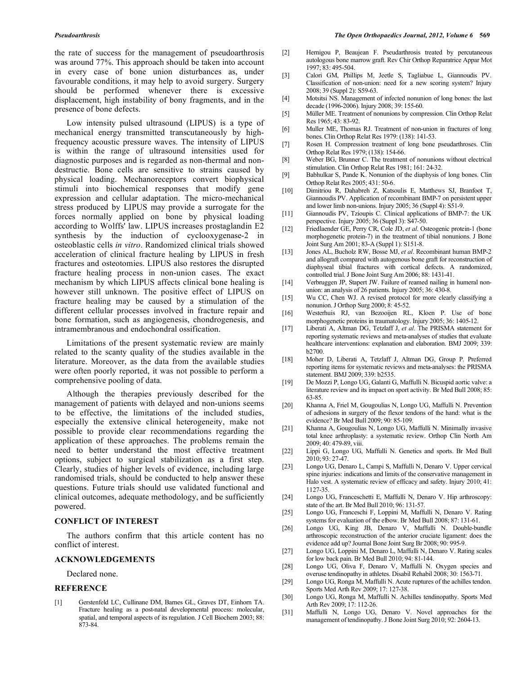the rate of success for the management of pseudoarthrosis was around 77%. This approach should be taken into account in every case of bone union disturbances as, under favourable conditions, it may help to avoid surgery. Surgery should be performed whenever there is excessive displacement, high instability of bony fragments, and in the presence of bone defects.

 Low intensity pulsed ultrasound (LIPUS) is a type of mechanical energy transmitted transcutaneously by highfrequency acoustic pressure waves. The intensity of LIPUS is within the range of ultrasound intensities used for diagnostic purposes and is regarded as non-thermal and nondestructie. Bone cells are sensitive to strains caused by physical loading. Mechanoreceptors convert biophysical stimuli into biochemical responses that modify gene expression and cellular adaptation. The micro-mechanical stress produced by LIPUS may provide a surrogate for the forces normally applied on bone by physical loading according to Wolffs' law. LIPUS increases prostaglandin E2 synthesis by the induction of cyclooxygenase-2 in osteoblastic cells *in vitro*. Randomized clinical trials showed acceleration of clinical fracture healing by LIPUS in fresh fractures and osteotomies. LIPUS also restores the disrupted fracture healing process in non-union cases. The exact mechanism by which LIPUS affects clinical bone healing is however still unknown. The positive effect of LIPUS on fracture healing may be caused by a stimulation of the different cellular processes involved in fracture repair and bone formation, such as angiogenesis, chondrogenesis, and intramembranous and endochondral ossification.

 Limitations of the present systematic review are mainly related to the scanty quality of the studies available in the literature. Moreover, as the data from the available studies were often poorly reported, it was not possible to perform a comprehensive pooling of data.

 Although the therapies previously described for the management of patients with delayed and non-unions seems to be effective, the limitations of the included studies, especially the extensive clinical heterogeneity, make not possible to provide clear recommendations regarding the application of these approaches. The problems remain the need to better understand the most effective treatment options, subject to surgical stabilization as a first step. Clearly, studies of higher levels of evidence, including large randomised trials, should be conducted to help answer these questions. Future trials should use validated functional and clinical outcomes, adequate methodology, and be sufficiently powered.

### **CONFLICT OF INTEREST**

 The authors confirm that this article content has no conflict of interest.

# **ACKNOWLEDGEMENTS**

Declared none.

### **REFERENCE**

[1] Gerstenfeld LC, Cullinane DM, Barnes GL, Graves DT, Einhorn TA. Fracture healing as a post-natal developmental process: molecular, spatial, and temporal aspects of its regulation. J Cell Biochem 2003; 88: 873-84.

- [2] Hernigou P, Beaujean F. Pseudarthrosis treated by percutaneous autologous bone marrow graft. Rev Chir Orthop Reparatrice Appar Mot 1997; 83: 495-504.
- [3] Calori GM, Phillips M, Jeetle S, Tagliabue L, Giannoudis PV. Classification of non-union: need for a new scoring system? Injury 2008; 39 (Suppl 2): S59-63.
- [4] Motsitsi NS. Management of infected nonunion of long bones: the last decade (1996-2006). Injury 2008; 39: 155-60.
- [5] Müller ME. Treatment of nonunions by compression. Clin Orthop Relat Res 1965; 43: 83-92.
- [6] Muller ME, Thomas RJ. Treatment of non-union in fractures of long bones. Clin Orthop Relat Res 1979: (138): 141-53.
- [7] Rosen H. Compression treatment of long bone pseudarthroses. Clin Orthop Relat Res 1979; (138): 154-66.
- [8] Weber BG, Brunner C. The treatment of nonunions without electrical stimulation. Clin Orthop Relat Res 1981; 161: 24-32.
- [9] Babhulkar S, Pande K. Nonunion of the diaphysis of long bones. Clin Orthop Relat Res 2005; 431: 50-6.
- [10] Dimitriou R, Dahabreh Z, Katsoulis E, Matthews SJ, Branfoot T, Giannoudis PV. Application of recombinant BMP-7 on persistent upper and lower limb non-unions. Injury 2005; 36 (Suppl 4): S51-9.
- [11] Giannoudis PV, Tzioupis C. Clinical applications of BMP-7: the UK perspective. Injury 2005; 36 (Suppl 3): S47-50.
- [12] Friedlaender GE, Perry CR, Cole JD, *et al*. Osteogenic protein-1 (bone morphogenetic protein-7) in the treatment of tibial nonunions. J Bone Joint Surg Am 2001; 83-A (Suppl 1): S151-8.
- [13] Jones AL, Bucholz RW, Bosse MJ, *et al*. Recombinant human BMP-2 and allograft compared with autogenous bone graft for reconstruction of diaphyseal tibial fractures with cortical defects. A randomized, controlled trial. J Bone Joint Surg Am 2006; 88: 1431-41.
- [14] Verbruggen JP, Stapert JW. Failure of reamed nailing in humeral nonunion: an analysis of 26 patients. Injury 2005; 36: 430-8.
- [15] Wu CC, Chen WJ. A revised protocol for more clearly classifying a nonunion. J Orthop Surg 2000; 8: 45-52.
- [16] Westerhuis RJ, van Bezooijen RL, Kloen P. Use of bone morphogenetic proteins in traumatology. Injury 2005; 36: 1405-12.
- [17] Liberati A, Altman DG, Tetzlaff J, *et al*. The PRISMA statement for reporting systematic reviews and meta-analyses of studies that evaluate healthcare interventions: explanation and elaboration. BMJ 2009; 339: b2700.
- [18] Moher D, Liberati A, Tetzlaff J, Altman DG, Group P. Preferred reporting items for systematic reviews and meta-analyses: the PRISMA statement. BMJ 2009; 339: b2535.
- [19] De Mozzi P, Longo UG, Galanti G, Maffulli N. Bicuspid aortic valve: a literature review and its impact on sport activity. Br Med Bull 2008; 85: 63-85.
- [20] Khanna A, Friel M, Gougoulias N, Longo UG, Maffulli N. Prevention of adhesions in surgery of the flexor tendons of the hand: what is the evidence? Br Med Bull 2009; 90: 85-109.
- [21] Khanna A, Gougoulias N, Longo UG, Maffulli N. Minimally invasive total knee arthroplasty: a systematic review. Orthop Clin North Am 2009; 40: 479-89, viii.
- [22] Lippi G, Longo UG, Maffulli N. Genetics and sports. Br Med Bull 2010; 93: 27-47.
- [23] Longo UG, Denaro L, Campi S, Maffulli N, Denaro V. Upper cervical spine injuries: indications and limits of the conservative management in Halo vest. A systematic review of efficacy and safety. Injury 2010; 41: 1127-35.
- [24] Longo UG, Franceschetti E, Maffulli N, Denaro V. Hip arthroscopy: state of the art. Br Med Bull 2010; 96: 131-57.
- [25] Longo UG, Franceschi F, Loppini M, Maffulli N, Denaro V. Rating systems for evaluation of the elbow. Br Med Bull 2008; 87: 131-61.
- [26] Longo UG, King JB, Denaro V, Maffulli N. Double-bundle arthroscopic reconstruction of the anterior cruciate ligament: does the evidence add up? Journal Bone Joint Surg Br 2008; 90: 995-9.
- [27] Longo UG, Loppini M, Denaro L, Maffulli N, Denaro V. Rating scales for low back pain. Br Med Bull 2010; 94: 81-144.
- [28] Longo UG, Oliva F, Denaro V, Maffulli N. Oxygen species and overuse tendinopathy in athletes. Disabil Rehabil 2008; 30: 1563-71.
- [29] Longo UG, Ronga M, Maffulli N. Acute ruptures of the achilles tendon. Sports Med Arth Rev 2009; 17: 127-38.
- [30] Longo UG, Ronga M, Maffulli N. Achilles tendinopathy. Sports Med Arth Rev 2009; 17: 112-26.
- [31] Maffulli N, Longo UG, Denaro V. Novel approaches for the management of tendinopathy. J Bone Joint Surg 2010; 92: 2604-13.